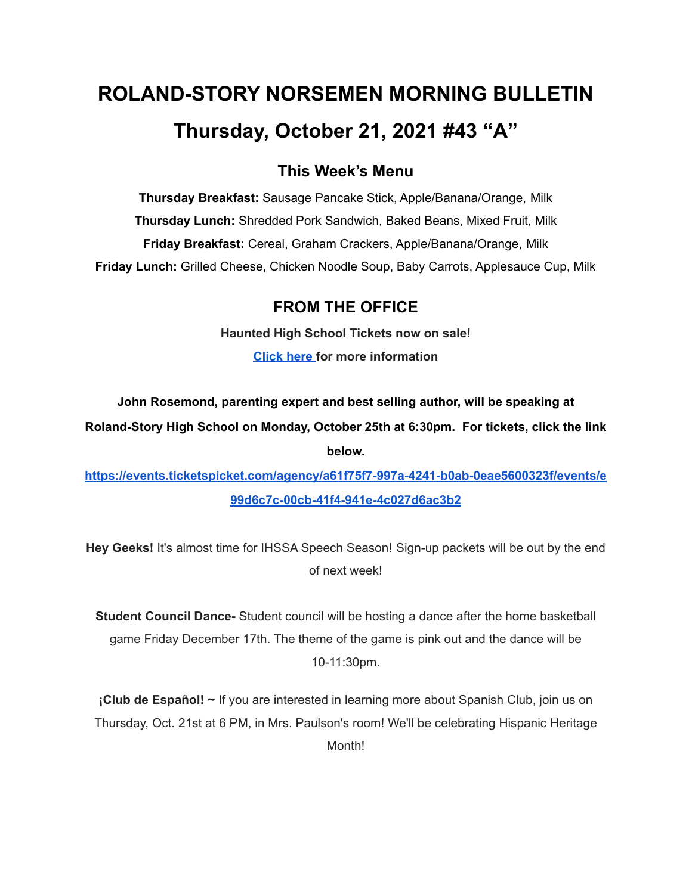# **ROLAND-STORY NORSEMEN MORNING BULLETIN Thursday, October 21, 2021 #43 "A"**

## **This Week's Menu**

**Thursday Breakfast:** Sausage Pancake Stick, Apple/Banana/Orange, Milk **Thursday Lunch:** Shredded Pork Sandwich, Baked Beans, Mixed Fruit, Milk **Friday Breakfast:** Cereal, Graham Crackers, Apple/Banana/Orange, Milk **Friday Lunch:** Grilled Cheese, Chicken Noodle Soup, Baby Carrots, Applesauce Cup, Milk

## **FROM THE OFFICE**

**Haunted High School Tickets now on sale! [Click](https://drive.google.com/file/d/1QQXVvjnwkvK4mkS1QKdNp9LhOMZRHqKl/view?usp=sharing) here for more information**

**John Rosemond, parenting expert and best selling author, will be speaking at**

**Roland-Story High School on Monday, October 25th at 6:30pm. For tickets, click the link below.**

**[https://events.ticketspicket.com/agency/a61f75f7-997a-4241-b0ab-0eae5600323f/events/e](https://events.ticketspicket.com/agency/a61f75f7-997a-4241-b0ab-0eae5600323f/events/e99d6c7c-00cb-41f4-941e-4c027d6ac3b2) [99d6c7c-00cb-41f4-941e-4c027d6ac3b2](https://events.ticketspicket.com/agency/a61f75f7-997a-4241-b0ab-0eae5600323f/events/e99d6c7c-00cb-41f4-941e-4c027d6ac3b2)**

**Hey Geeks!** It's almost time for IHSSA Speech Season! Sign-up packets will be out by the end of next week!

**Student Council Dance-** Student council will be hosting a dance after the home basketball game Friday December 17th. The theme of the game is pink out and the dance will be 10-11:30pm.

**¡Club de Español! ~** If you are interested in learning more about Spanish Club, join us on Thursday, Oct. 21st at 6 PM, in Mrs. Paulson's room! We'll be celebrating Hispanic Heritage Month!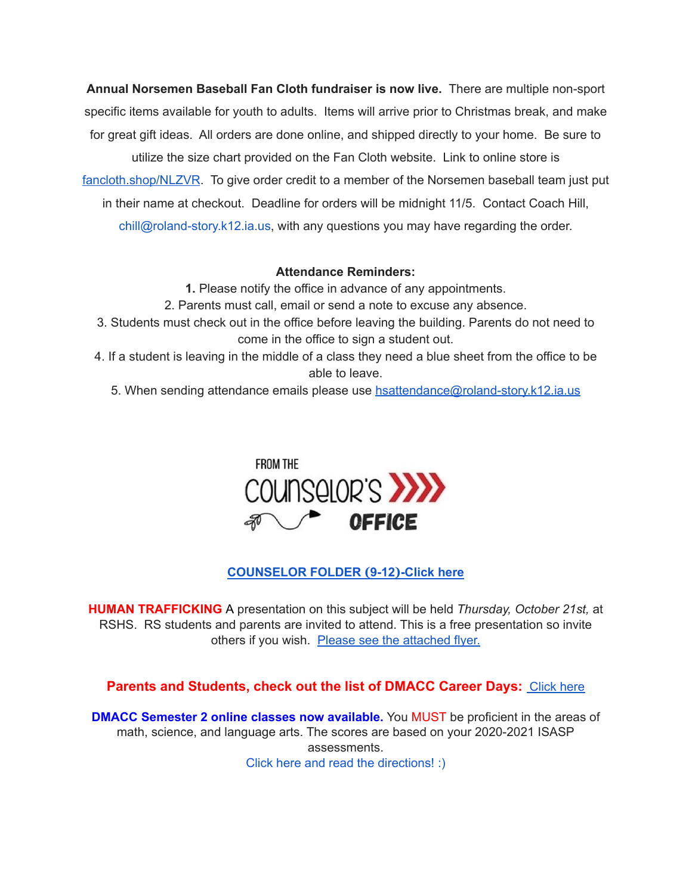**Annual Norsemen Baseball Fan Cloth fundraiser is now live.** There are multiple non-sport specific items available for youth to adults. Items will arrive prior to Christmas break, and make for great gift ideas. All orders are done online, and shipped directly to your home. Be sure to utilize the size chart provided on the Fan Cloth website. Link to online store is [fancloth.shop/NLZVR](http://fancloth.shop/NLZVR). To give order credit to a member of the Norsemen baseball team just put in their name at checkout. Deadline for orders will be midnight 11/5. Contact Coach Hill, chill@roland-story.k12.ia.us, with any questions you may have regarding the order.

#### **Attendance Reminders:**

- **1.** Please notify the office in advance of any appointments.
- 2. Parents must call, email or send a note to excuse any absence.
- 3. Students must check out in the office before leaving the building. Parents do not need to come in the office to sign a student out.
- 4. If a student is leaving in the middle of a class they need a blue sheet from the office to be able to leave.
	- 5. When sending attendance emails please use [hsattendance@roland-story.k12.ia.us](mailto:hsattendance@roland-story.k12.ia.us)



#### **[COUNSELOR](https://docs.google.com/document/d/1vmwczNPbDzXe9vFaG5LJMQ7NYDv-i4oQJHybqA65TUc/edit?usp=sharing) FOLDER (9-12)-Click here**

**HUMAN TRAFFICKING** A presentation on this subject will be held *Thursday, October 21st,* at RSHS. RS students and parents are invited to attend. This is a free presentation so invite others if you wish. Please see the [attached](https://drive.google.com/file/d/1yauLbYbFOUL1W6YeHUsplVp9VT4j6PbF/view?usp=sharing) flyer.

**Parents and Students, check out the list of DMACC Career Days: [Click](https://www.dmacc.edu/careerdiscovery/Pages/careerdiscovery.aspx) here** 

**DMACC Semester 2 online classes now available.** You MUST be proficient in the areas of math, science, and language arts. The scores are based on your 2020-2021 ISASP assessments. Click here and read the [directions!](https://docs.google.com/document/d/1DwEmgrLuBDkU4bqokTEqzimj1v3EFqhLcx5OUZTQjsg/edit?usp=sharing) :)